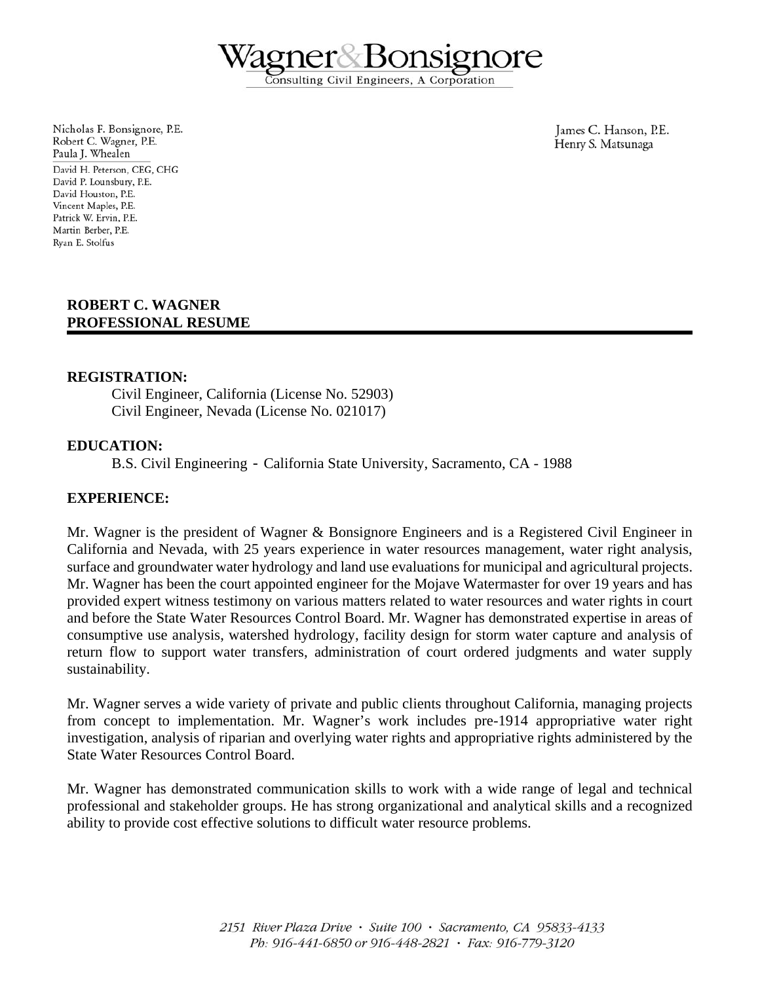Consulting Civil Engineers, A Corporation

Nicholas F. Bonsignore, P.E. Robert C. Wagner, P.E. Paula J. Whealen David H. Peterson, CEG, CHG David P. Lounsbury, P.E. David Houston, P.E. Vincent Maples, P.E. Patrick W. Ervin, P.E. Martin Berber, P.E. Rvan E. Stolfus

James C. Hanson, P.E. Henry S. Matsunaga

## **ROBERT C. WAGNER PROFESSIONAL RESUME**

## **REGISTRATION:**

Civil Engineer, California (License No. 52903) Civil Engineer, Nevada (License No. 021017)

#### **EDUCATION:**

B.S. Civil Engineering - California State University, Sacramento, CA - 1988

#### **EXPERIENCE:**

Mr. Wagner is the president of Wagner & Bonsignore Engineers and is a Registered Civil Engineer in California and Nevada, with 25 years experience in water resources management, water right analysis, surface and groundwater water hydrology and land use evaluations for municipal and agricultural projects. Mr. Wagner has been the court appointed engineer for the Mojave Watermaster for over 19 years and has provided expert witness testimony on various matters related to water resources and water rights in court and before the State Water Resources Control Board. Mr. Wagner has demonstrated expertise in areas of consumptive use analysis, watershed hydrology, facility design for storm water capture and analysis of return flow to support water transfers, administration of court ordered judgments and water supply sustainability.

Mr. Wagner serves a wide variety of private and public clients throughout California, managing projects from concept to implementation. Mr. Wagner's work includes pre-1914 appropriative water right investigation, analysis of riparian and overlying water rights and appropriative rights administered by the State Water Resources Control Board.

Mr. Wagner has demonstrated communication skills to work with a wide range of legal and technical professional and stakeholder groups. He has strong organizational and analytical skills and a recognized ability to provide cost effective solutions to difficult water resource problems.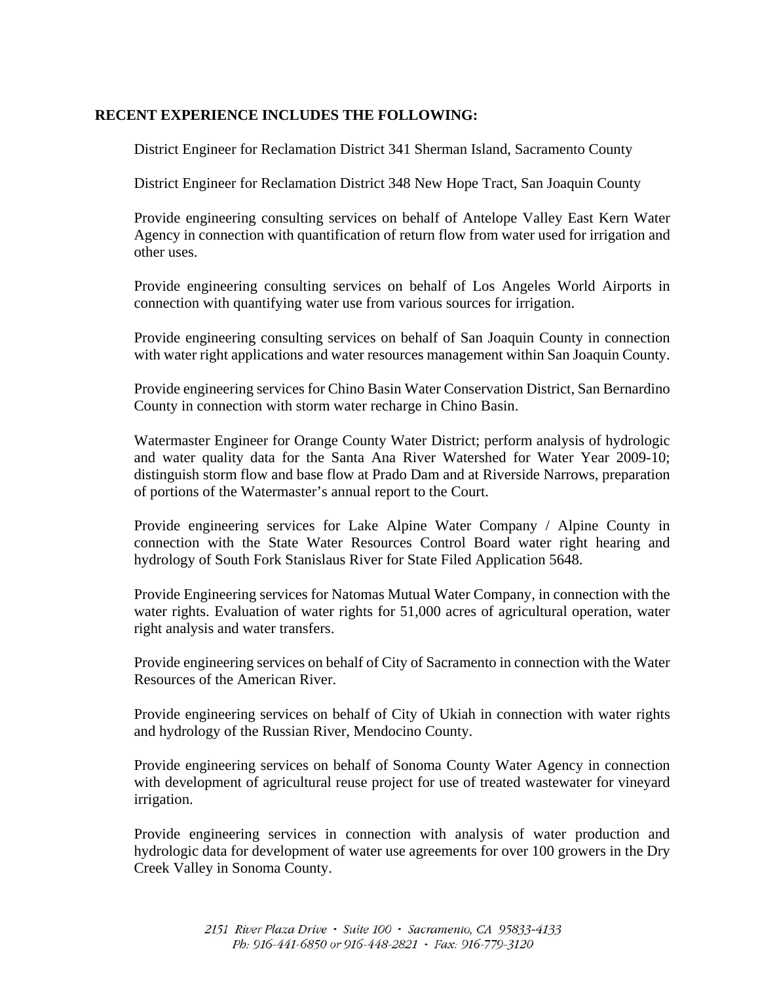# **RECENT EXPERIENCE INCLUDES THE FOLLOWING:**

District Engineer for Reclamation District 341 Sherman Island, Sacramento County

District Engineer for Reclamation District 348 New Hope Tract, San Joaquin County

Provide engineering consulting services on behalf of Antelope Valley East Kern Water Agency in connection with quantification of return flow from water used for irrigation and other uses.

Provide engineering consulting services on behalf of Los Angeles World Airports in connection with quantifying water use from various sources for irrigation.

Provide engineering consulting services on behalf of San Joaquin County in connection with water right applications and water resources management within San Joaquin County.

Provide engineering services for Chino Basin Water Conservation District, San Bernardino County in connection with storm water recharge in Chino Basin.

Watermaster Engineer for Orange County Water District; perform analysis of hydrologic and water quality data for the Santa Ana River Watershed for Water Year 2009-10; distinguish storm flow and base flow at Prado Dam and at Riverside Narrows, preparation of portions of the Watermaster's annual report to the Court.

Provide engineering services for Lake Alpine Water Company / Alpine County in connection with the State Water Resources Control Board water right hearing and hydrology of South Fork Stanislaus River for State Filed Application 5648.

Provide Engineering services for Natomas Mutual Water Company, in connection with the water rights. Evaluation of water rights for 51,000 acres of agricultural operation, water right analysis and water transfers.

Provide engineering services on behalf of City of Sacramento in connection with the Water Resources of the American River.

Provide engineering services on behalf of City of Ukiah in connection with water rights and hydrology of the Russian River, Mendocino County.

Provide engineering services on behalf of Sonoma County Water Agency in connection with development of agricultural reuse project for use of treated wastewater for vineyard irrigation.

Provide engineering services in connection with analysis of water production and hydrologic data for development of water use agreements for over 100 growers in the Dry Creek Valley in Sonoma County.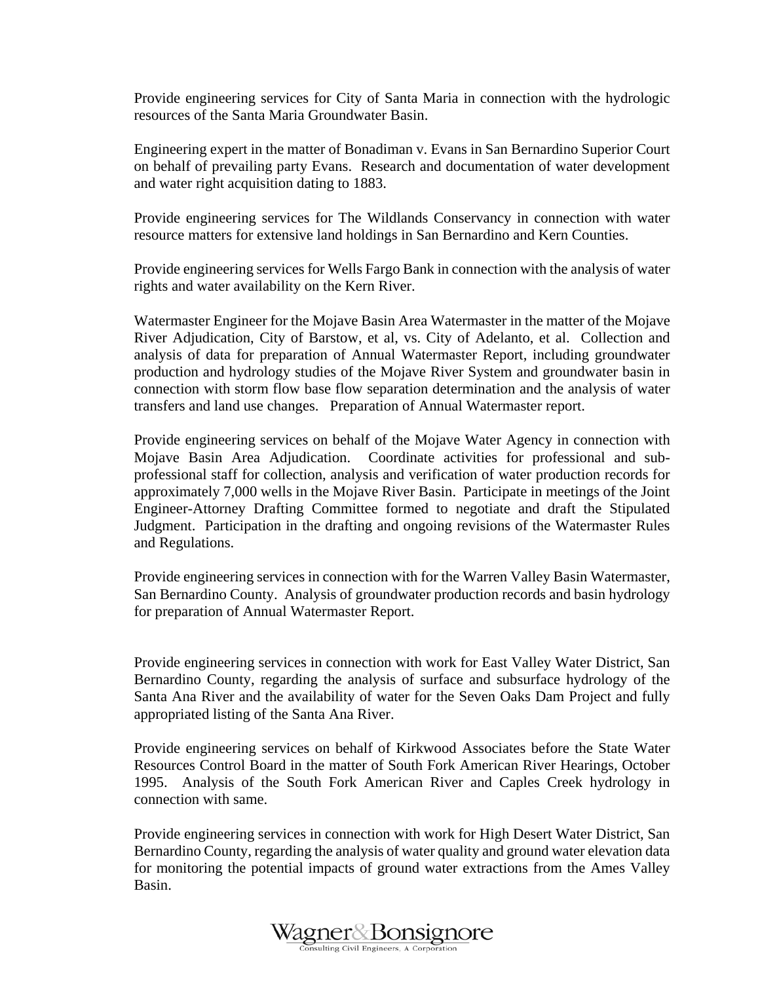Provide engineering services for City of Santa Maria in connection with the hydrologic resources of the Santa Maria Groundwater Basin.

Engineering expert in the matter of Bonadiman v. Evans in San Bernardino Superior Court on behalf of prevailing party Evans. Research and documentation of water development and water right acquisition dating to 1883.

Provide engineering services for The Wildlands Conservancy in connection with water resource matters for extensive land holdings in San Bernardino and Kern Counties.

Provide engineering services for Wells Fargo Bank in connection with the analysis of water rights and water availability on the Kern River.

Watermaster Engineer for the Mojave Basin Area Watermaster in the matter of the Mojave River Adjudication, City of Barstow, et al, vs. City of Adelanto, et al. Collection and analysis of data for preparation of Annual Watermaster Report, including groundwater production and hydrology studies of the Mojave River System and groundwater basin in connection with storm flow base flow separation determination and the analysis of water transfers and land use changes. Preparation of Annual Watermaster report.

Provide engineering services on behalf of the Mojave Water Agency in connection with Mojave Basin Area Adjudication. Coordinate activities for professional and subprofessional staff for collection, analysis and verification of water production records for approximately 7,000 wells in the Mojave River Basin. Participate in meetings of the Joint Engineer-Attorney Drafting Committee formed to negotiate and draft the Stipulated Judgment. Participation in the drafting and ongoing revisions of the Watermaster Rules and Regulations.

Provide engineering services in connection with for the Warren Valley Basin Watermaster, San Bernardino County. Analysis of groundwater production records and basin hydrology for preparation of Annual Watermaster Report.

Provide engineering services in connection with work for East Valley Water District, San Bernardino County, regarding the analysis of surface and subsurface hydrology of the Santa Ana River and the availability of water for the Seven Oaks Dam Project and fully appropriated listing of the Santa Ana River.

Provide engineering services on behalf of Kirkwood Associates before the State Water Resources Control Board in the matter of South Fork American River Hearings, October 1995. Analysis of the South Fork American River and Caples Creek hydrology in connection with same.

Provide engineering services in connection with work for High Desert Water District, San Bernardino County, regarding the analysis of water quality and ground water elevation data for monitoring the potential impacts of ground water extractions from the Ames Valley Basin.